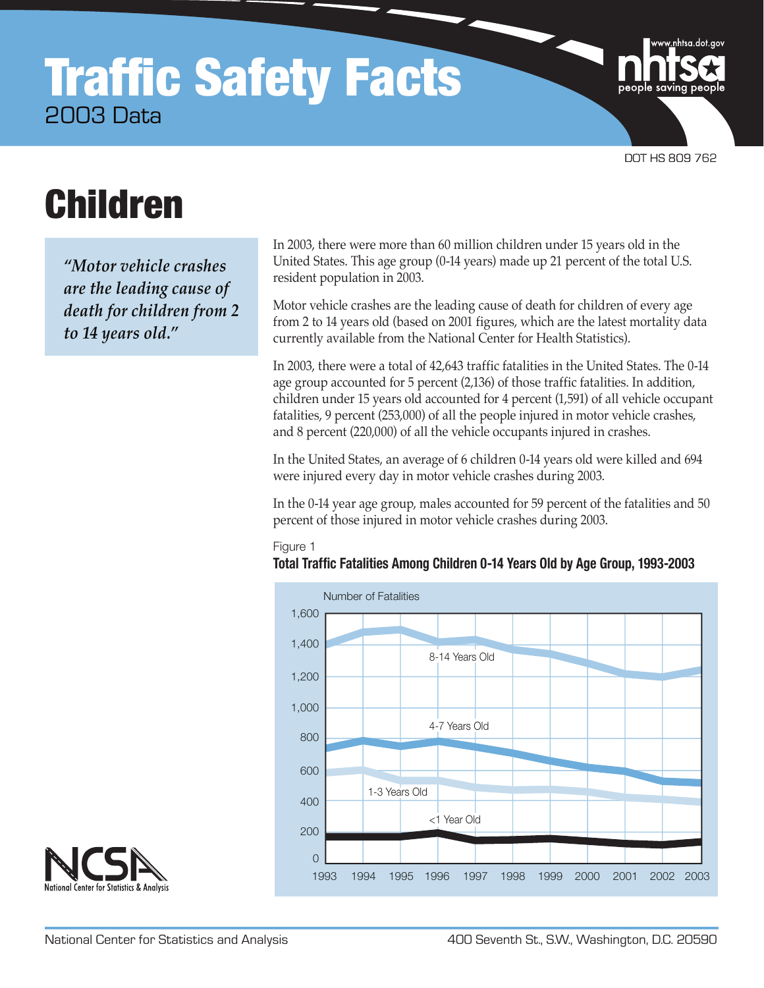## **Traffic Safety Facts** 2003 Data

DOT HS 809 762

nhtsa.dot.gov

# Children

*"Motor vehicle crashes are the leading cause of death for children from 2 to 14 years old."*

In 2003, there were more than 60 million children under 15 years old in the United States. This age group (0-14 years) made up 21 percent of the total U.S. resident population in 2003.

Motor vehicle crashes are the leading cause of death for children of every age from 2 to 14 years old (based on 2001 figures, which are the latest mortality data currently available from the National Center for Health Statistics).

In 2003, there were a total of 42,643 traffic fatalities in the United States. The 0-14 age group accounted for 5 percent (2,136) of those traffic fatalities. In addition, children under 15 years old accounted for 4 percent (1,591) of all vehicle occupant fatalities, 9 percent (253,000) of all the people injured in motor vehicle crashes, and 8 percent (220,000) of all the vehicle occupants injured in crashes.

In the United States, an average of 6 children 0-14 years old were killed and 694 were injured every day in motor vehicle crashes during 2003.

In the 0-14 year age group, males accounted for 59 percent of the fatalities and 50 percent of those injured in motor vehicle crashes during 2003.

## Figure 1

## **Total Traffic Fatalities Among Children 0-14 Years Old by Age Group, 1993-2003**



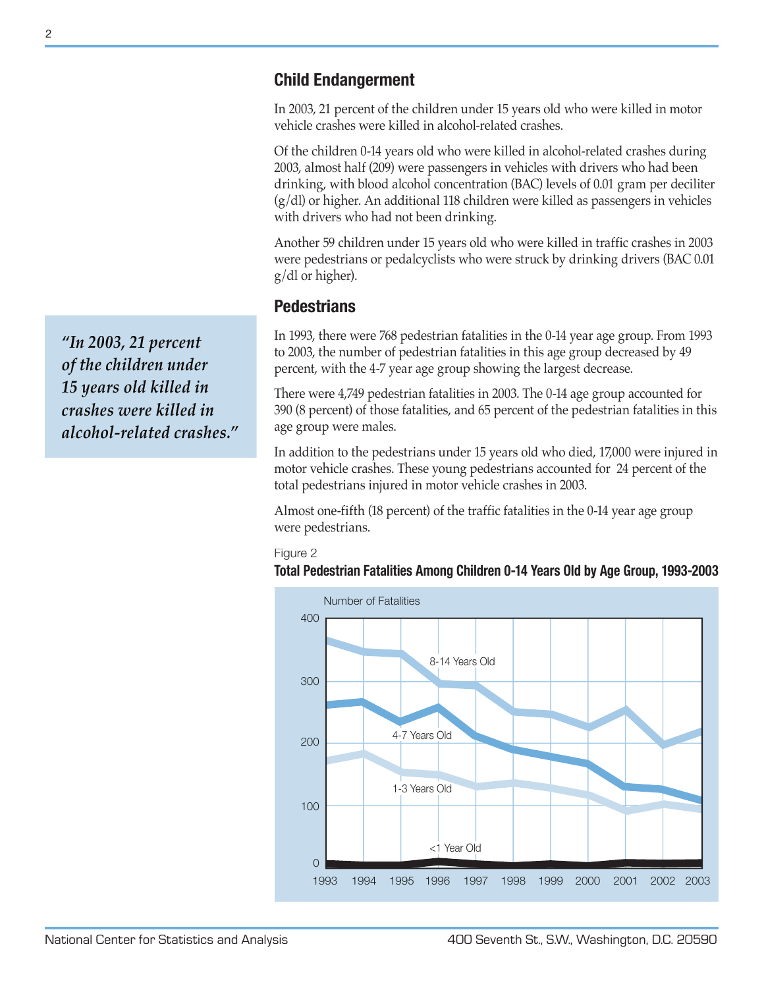## **Child Endangerment**

In 2003, 21 percent of the children under 15 years old who were killed in motor vehicle crashes were killed in alcohol-related crashes.

Of the children 0-14 years old who were killed in alcohol-related crashes during 2003, almost half (209) were passengers in vehicles with drivers who had been drinking, with blood alcohol concentration (BAC) levels of 0.01 gram per deciliter (g/dl) or higher. An additional 118 children were killed as passengers in vehicles with drivers who had not been drinking.

Another 59 children under 15 years old who were killed in traffic crashes in 2003 were pedestrians or pedalcyclists who were struck by drinking drivers (BAC 0.01 g/dl or higher).

## **Pedestrians**

In 1993, there were 768 pedestrian fatalities in the 0-14 year age group. From 1993 to 2003, the number of pedestrian fatalities in this age group decreased by 49 percent, with the 4-7 year age group showing the largest decrease.

There were 4,749 pedestrian fatalities in 2003. The 0-14 age group accounted for 390 (8 percent) of those fatalities, and 65 percent of the pedestrian fatalities in this age group were males.

In addition to the pedestrians under 15 years old who died, 17,000 were injured in motor vehicle crashes. These young pedestrians accounted for 24 percent of the total pedestrians injured in motor vehicle crashes in 2003.

Almost one-fifth (18 percent) of the traffic fatalities in the 0-14 year age group were pedestrians.

#### Figure 2

#### **Total Pedestrian Fatalities Among Children 0-14 Years Old by Age Group, 1993-2003**



*"In 2003, 21 percent of the children under 15 years old killed in crashes were killed in alcohol-related crashes."*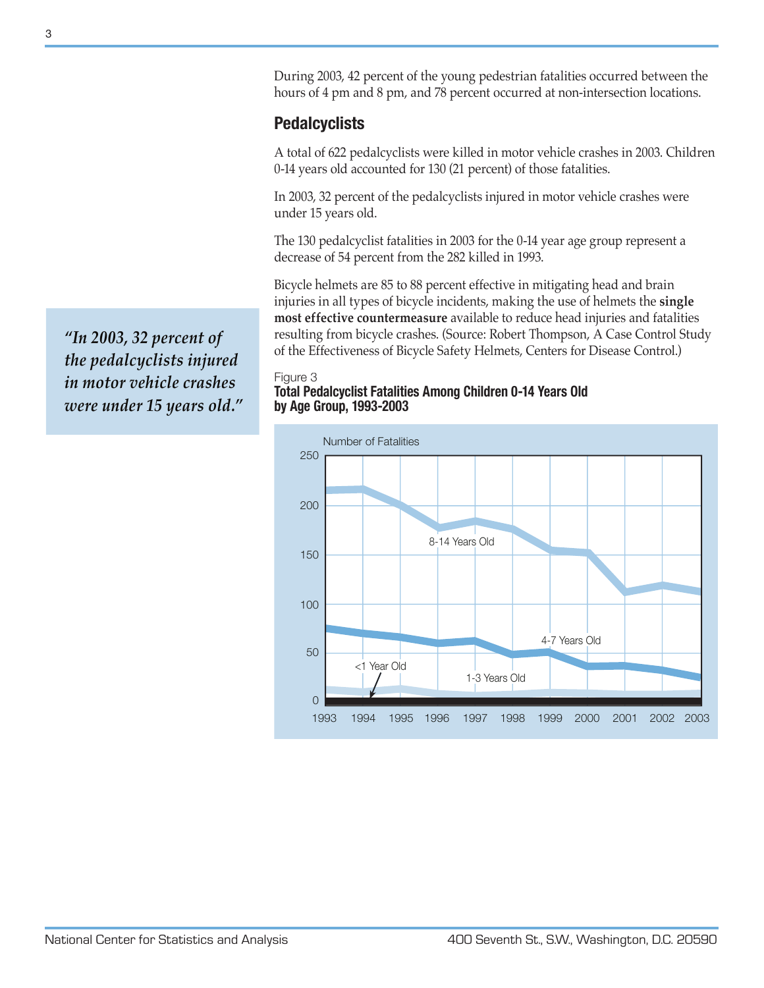During 2003, 42 percent of the young pedestrian fatalities occurred between the hours of 4 pm and 8 pm, and 78 percent occurred at non-intersection locations.

## **Pedalcyclists**

A total of 622 pedalcyclists were killed in motor vehicle crashes in 2003. Children 0-14 years old accounted for 130 (21 percent) of those fatalities.

In 2003, 32 percent of the pedalcyclists injured in motor vehicle crashes were under 15 years old.

The 130 pedalcyclist fatalities in 2003 for the 0-14 year age group represent a decrease of 54 percent from the 282 killed in 1993.

Bicycle helmets are 85 to 88 percent effective in mitigating head and brain injuries in all types of bicycle incidents, making the use of helmets the **single most effective countermeasure** available to reduce head injuries and fatalities resulting from bicycle crashes. (Source: Robert Thompson, A Case Control Study of the Effectiveness of Bicycle Safety Helmets, Centers for Disease Control.)

## Figure 3

#### **Total Pedalcyclist Fatalities Among Children 0-14 Years Old by Age Group, 1993-2003**



*"In 2003, 32 percent of the pedalcyclists injured in motor vehicle crashes were under 15 years old."*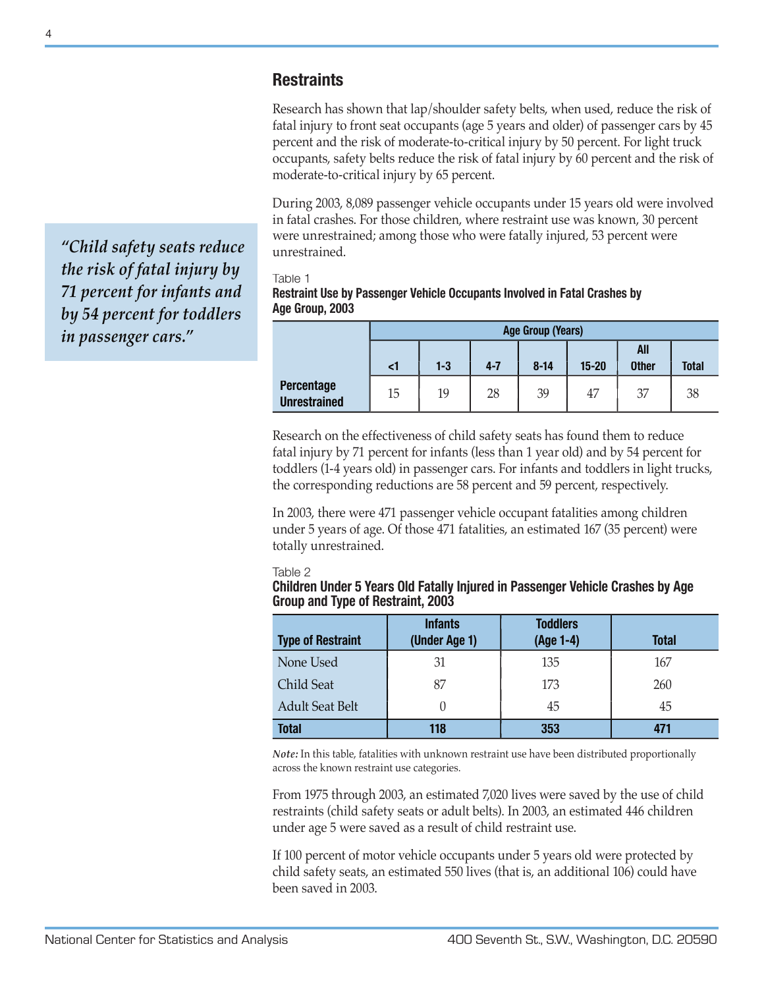## **Restraints**

Research has shown that lap/shoulder safety belts, when used, reduce the risk of fatal injury to front seat occupants (age 5 years and older) of passenger cars by 45 percent and the risk of moderate-to-critical injury by 50 percent. For light truck occupants, safety belts reduce the risk of fatal injury by 60 percent and the risk of moderate-to-critical injury by 65 percent.

During 2003, 8,089 passenger vehicle occupants under 15 years old were involved in fatal crashes. For those children, where restraint use was known, 30 percent were unrestrained; among those who were fatally injured, 53 percent were unrestrained.

Table 1

**Restraint Use by Passenger Vehicle Occupants Involved in Fatal Crashes by Age Group, 2003**

|                                          | <b>Age Group (Years)</b> |         |         |          |           |                     |              |  |  |
|------------------------------------------|--------------------------|---------|---------|----------|-----------|---------------------|--------------|--|--|
|                                          | $\leq$ 1                 | $1 - 3$ | $4 - 7$ | $8 - 14$ | $15 - 20$ | All<br><b>Other</b> | <b>Total</b> |  |  |
| <b>Percentage</b><br><b>Unrestrained</b> | 15                       | 19      | 28      | 39       | 47        | 37                  | 38           |  |  |

Research on the effectiveness of child safety seats has found them to reduce fatal injury by 71 percent for infants (less than 1 year old) and by 54 percent for toddlers (1-4 years old) in passenger cars. For infants and toddlers in light trucks, the corresponding reductions are 58 percent and 59 percent, respectively.

In 2003, there were 471 passenger vehicle occupant fatalities among children under 5 years of age. Of those 471 fatalities, an estimated 167 (35 percent) were totally unrestrained.

#### Table 2

**Children Under 5 Years Old Fatally Injured in Passenger Vehicle Crashes by Age Group and Type of Restraint, 2003**

| <b>Type of Restraint</b> | <b>Infants</b><br>(Under Age 1) | <b>Toddlers</b><br>(Age 1-4) | <b>Total</b> |
|--------------------------|---------------------------------|------------------------------|--------------|
| None Used                | 31                              | 135                          | 167          |
| <b>Child Seat</b>        | 87                              | 173                          | 260          |
| <b>Adult Seat Belt</b>   |                                 | 45                           | 45           |
| <b>Total</b>             | 118                             | 353                          |              |

*Note:* In this table, fatalities with unknown restraint use have been distributed proportionally across the known restraint use categories.

From 1975 through 2003, an estimated 7,020 lives were saved by the use of child restraints (child safety seats or adult belts). In 2003, an estimated 446 children under age 5 were saved as a result of child restraint use.

If 100 percent of motor vehicle occupants under 5 years old were protected by child safety seats, an estimated 550 lives (that is, an additional 106) could have been saved in 2003.

*"Child safety seats reduce the risk of fatal injury by 71 percent for infants and by 54 percent for toddlers in passenger cars."*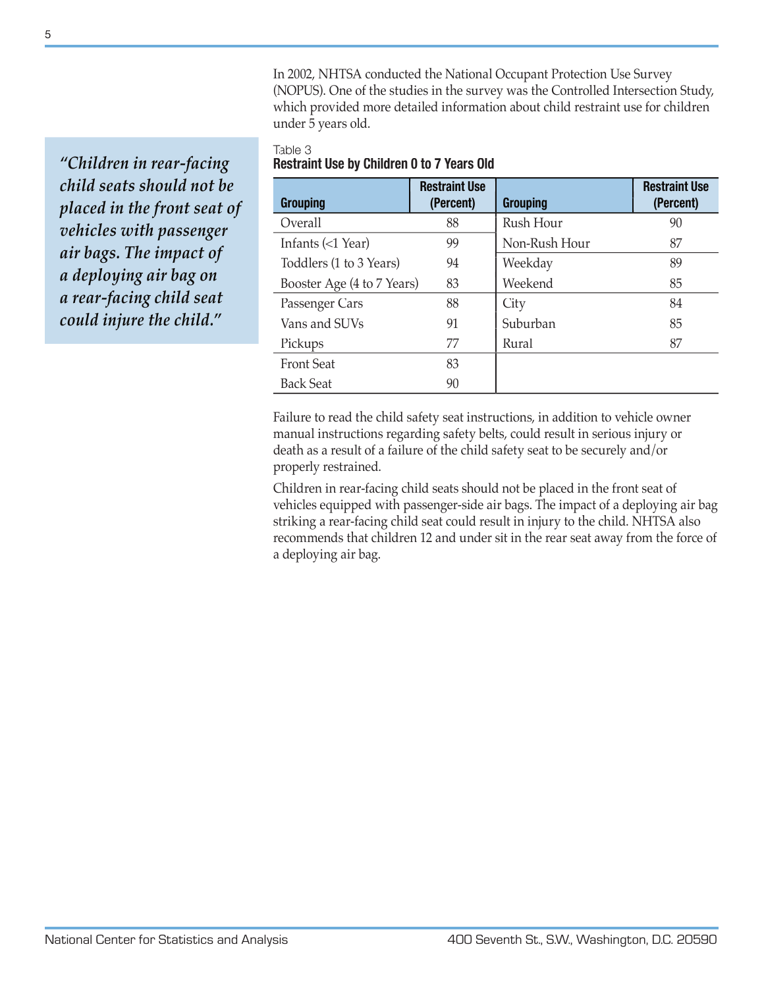In 2002, NHTSA conducted the National Occupant Protection Use Survey (NOPUS). One of the studies in the survey was the Controlled Intersection Study, which provided more detailed information about child restraint use for children under 5 years old.

### Table 3 **Restraint Use by Children 0 to 7 Years Old**

| <b>Grouping</b>                    | <b>Restraint Use</b><br>(Percent) | <b>Grouping</b> | <b>Restraint Use</b><br>(Percent) |
|------------------------------------|-----------------------------------|-----------------|-----------------------------------|
| Overall                            | 88                                | Rush Hour       | 90                                |
| Infants $\left( < 1 \right)$ Year) | 99                                | Non-Rush Hour   | 87                                |
| Toddlers (1 to 3 Years)            | 94                                | Weekday         | 89                                |
| Booster Age (4 to 7 Years)         | 83                                | Weekend         | 85                                |
| Passenger Cars                     | 88                                | City            | 84                                |
| Vans and SUVs                      | 91                                | Suburban        | 85                                |
| Pickups                            | 77                                | Rural           | 87                                |
| <b>Front Seat</b>                  | 83                                |                 |                                   |
| <b>Back Seat</b>                   | 90                                |                 |                                   |

Failure to read the child safety seat instructions, in addition to vehicle owner manual instructions regarding safety belts, could result in serious injury or death as a result of a failure of the child safety seat to be securely and/or properly restrained.

Children in rear-facing child seats should not be placed in the front seat of vehicles equipped with passenger-side air bags. The impact of a deploying air bag striking a rear-facing child seat could result in injury to the child. NHTSA also recommends that children 12 and under sit in the rear seat away from the force of a deploying air bag.

*"Children in rear-facing child seats should not be placed in the front seat of vehicles with passenger air bags. The impact of a deploying air bag on a rear-facing child seat could injure the child."*